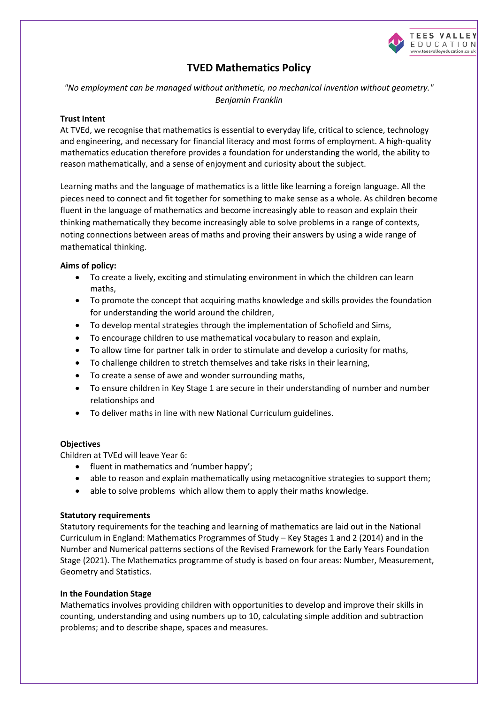

# **TVED Mathematics Policy**

*"No employment can be managed without arithmetic, no mechanical invention without geometry." Benjamin Franklin*

# **Trust Intent**

At TVEd, we recognise that mathematics is essential to everyday life, critical to science, technology and engineering, and necessary for financial literacy and most forms of employment. A high-quality mathematics education therefore provides a foundation for understanding the world, the ability to reason mathematically, and a sense of enjoyment and curiosity about the subject.

Learning maths and the language of mathematics is a little like learning a foreign language. All the pieces need to connect and fit together for something to make sense as a whole. As children become fluent in the language of mathematics and become increasingly able to reason and explain their thinking mathematically they become increasingly able to solve problems in a range of contexts, noting connections between areas of maths and proving their answers by using a wide range of mathematical thinking.

# **Aims of policy:**

- To create a lively, exciting and stimulating environment in which the children can learn maths,
- To promote the concept that acquiring maths knowledge and skills provides the foundation for understanding the world around the children,
- To develop mental strategies through the implementation of Schofield and Sims,
- To encourage children to use mathematical vocabulary to reason and explain,
- To allow time for partner talk in order to stimulate and develop a curiosity for maths,
- To challenge children to stretch themselves and take risks in their learning,
- To create a sense of awe and wonder surrounding maths,
- To ensure children in Key Stage 1 are secure in their understanding of number and number relationships and
- To deliver maths in line with new National Curriculum guidelines.

# **Objectives**

Children at TVEd will leave Year 6:

- fluent in mathematics and 'number happy':
- able to reason and explain mathematically using metacognitive strategies to support them;
- able to solve problems which allow them to apply their maths knowledge.

# **Statutory requirements**

Statutory requirements for the teaching and learning of mathematics are laid out in the National Curriculum in England: Mathematics Programmes of Study – Key Stages 1 and 2 (2014) and in the Number and Numerical patterns sections of the Revised Framework for the Early Years Foundation Stage (2021). The Mathematics programme of study is based on four areas: Number, Measurement, Geometry and Statistics.

# **In the Foundation Stage**

Mathematics involves providing children with opportunities to develop and improve their skills in counting, understanding and using numbers up to 10, calculating simple addition and subtraction problems; and to describe shape, spaces and measures.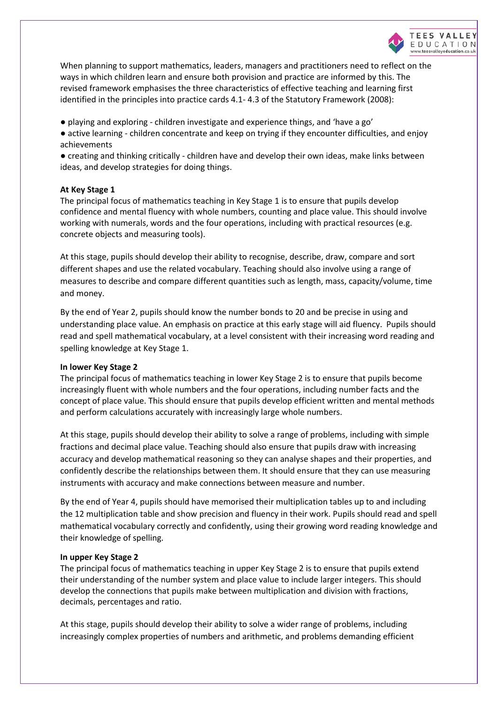

When planning to support mathematics, leaders, managers and practitioners need to reflect on the ways in which children learn and ensure both provision and practice are informed by this. The revised framework emphasises the three characteristics of effective teaching and learning first identified in the principles into practice cards 4.1- 4.3 of the Statutory Framework (2008):

- playing and exploring children investigate and experience things, and 'have a go'
- active learning children concentrate and keep on trying if they encounter difficulties, and enjoy achievements

● creating and thinking critically - children have and develop their own ideas, make links between ideas, and develop strategies for doing things.

## **At Key Stage 1**

The principal focus of mathematics teaching in Key Stage 1 is to ensure that pupils develop confidence and mental fluency with whole numbers, counting and place value. This should involve working with numerals, words and the four operations, including with practical resources (e.g. concrete objects and measuring tools).

At this stage, pupils should develop their ability to recognise, describe, draw, compare and sort different shapes and use the related vocabulary. Teaching should also involve using a range of measures to describe and compare different quantities such as length, mass, capacity/volume, time and money.

By the end of Year 2, pupils should know the number bonds to 20 and be precise in using and understanding place value. An emphasis on practice at this early stage will aid fluency. Pupils should read and spell mathematical vocabulary, at a level consistent with their increasing word reading and spelling knowledge at Key Stage 1.

#### **In lower Key Stage 2**

The principal focus of mathematics teaching in lower Key Stage 2 is to ensure that pupils become increasingly fluent with whole numbers and the four operations, including number facts and the concept of place value. This should ensure that pupils develop efficient written and mental methods and perform calculations accurately with increasingly large whole numbers.

At this stage, pupils should develop their ability to solve a range of problems, including with simple fractions and decimal place value. Teaching should also ensure that pupils draw with increasing accuracy and develop mathematical reasoning so they can analyse shapes and their properties, and confidently describe the relationships between them. It should ensure that they can use measuring instruments with accuracy and make connections between measure and number.

By the end of Year 4, pupils should have memorised their multiplication tables up to and including the 12 multiplication table and show precision and fluency in their work. Pupils should read and spell mathematical vocabulary correctly and confidently, using their growing word reading knowledge and their knowledge of spelling.

#### **In upper Key Stage 2**

The principal focus of mathematics teaching in upper Key Stage 2 is to ensure that pupils extend their understanding of the number system and place value to include larger integers. This should develop the connections that pupils make between multiplication and division with fractions, decimals, percentages and ratio.

At this stage, pupils should develop their ability to solve a wider range of problems, including increasingly complex properties of numbers and arithmetic, and problems demanding efficient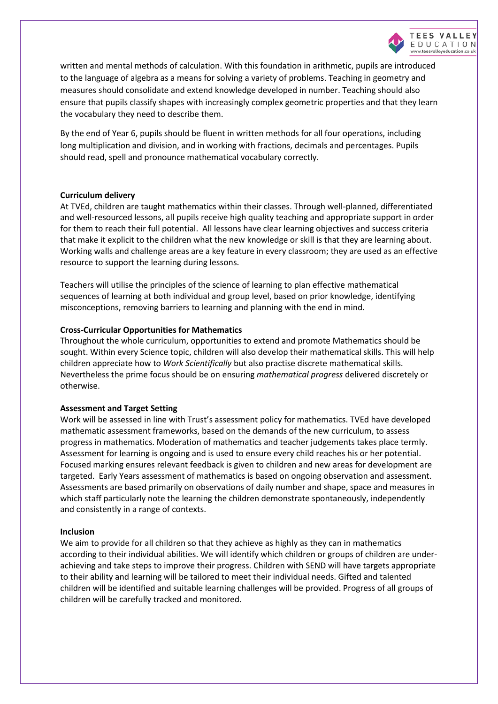

written and mental methods of calculation. With this foundation in arithmetic, pupils are introduced to the language of algebra as a means for solving a variety of problems. Teaching in geometry and measures should consolidate and extend knowledge developed in number. Teaching should also ensure that pupils classify shapes with increasingly complex geometric properties and that they learn the vocabulary they need to describe them.

By the end of Year 6, pupils should be fluent in written methods for all four operations, including long multiplication and division, and in working with fractions, decimals and percentages. Pupils should read, spell and pronounce mathematical vocabulary correctly.

## **Curriculum delivery**

At TVEd, children are taught mathematics within their classes. Through well-planned, differentiated and well-resourced lessons, all pupils receive high quality teaching and appropriate support in order for them to reach their full potential. All lessons have clear learning objectives and success criteria that make it explicit to the children what the new knowledge or skill is that they are learning about. Working walls and challenge areas are a key feature in every classroom; they are used as an effective resource to support the learning during lessons.

Teachers will utilise the principles of the science of learning to plan effective mathematical sequences of learning at both individual and group level, based on prior knowledge, identifying misconceptions, removing barriers to learning and planning with the end in mind.

## **Cross-Curricular Opportunities for Mathematics**

Throughout the whole curriculum, opportunities to extend and promote Mathematics should be sought. Within every Science topic, children will also develop their mathematical skills. This will help children appreciate how to *Work Scientifically* but also practise discrete mathematical skills. Nevertheless the prime focus should be on ensuring *mathematical progress* delivered discretely or otherwise.

#### **Assessment and Target Setting**

Work will be assessed in line with Trust's assessment policy for mathematics. TVEd have developed mathematic assessment frameworks, based on the demands of the new curriculum, to assess progress in mathematics. Moderation of mathematics and teacher judgements takes place termly. Assessment for learning is ongoing and is used to ensure every child reaches his or her potential. Focused marking ensures relevant feedback is given to children and new areas for development are targeted. Early Years assessment of mathematics is based on ongoing observation and assessment. Assessments are based primarily on observations of daily number and shape, space and measures in which staff particularly note the learning the children demonstrate spontaneously, independently and consistently in a range of contexts.

#### **Inclusion**

We aim to provide for all children so that they achieve as highly as they can in mathematics according to their individual abilities. We will identify which children or groups of children are underachieving and take steps to improve their progress. Children with SEND will have targets appropriate to their ability and learning will be tailored to meet their individual needs. Gifted and talented children will be identified and suitable learning challenges will be provided. Progress of all groups of children will be carefully tracked and monitored.